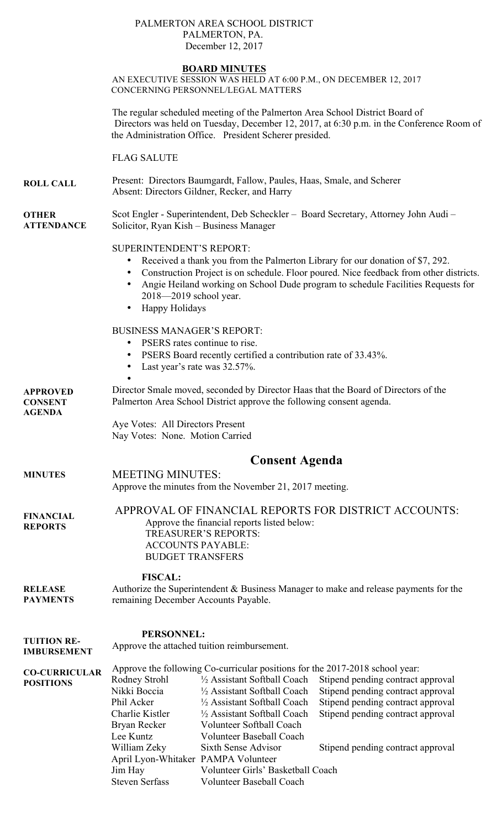### PALMERTON AREA SCHOOL DISTRICT PALMERTON, PA. December 12, 2017

## **BOARD MINUTES**

AN EXECUTIVE SESSION WAS HELD AT 6:00 P.M., ON DECEMBER 12, 2017 CONCERNING PERSONNEL/LEGAL MATTERS

The regular scheduled meeting of the Palmerton Area School District Board of Directors was held on Tuesday, December 12, 2017, at 6:30 p.m. in the Conference Room of the Administration Office. President Scherer presided.

FLAG SALUTE

**ROLL CALL** Present: Directors Baumgardt, Fallow, Paules, Haas, Smale, and Scherer Absent: Directors Gildner, Recker, and Harry

**OTHER ATTENDANCE** Scot Engler - Superintendent, Deb Scheckler – Board Secretary, Attorney John Audi – Solicitor, Ryan Kish – Business Manager

## SUPERINTENDENT'S REPORT:

- Received a thank you from the Palmerton Library for our donation of \$7, 292.
- Construction Project is on schedule. Floor poured. Nice feedback from other districts.
- Angie Heiland working on School Dude program to schedule Facilities Requests for 2018—2019 school year.
- Happy Holidays

### BUSINESS MANAGER'S REPORT:

- PSERS rates continue to rise.
- PSERS Board recently certified a contribution rate of 33.43%.
- Last year's rate was  $32.57\%$ .

**APPROVED CONSENT**  • Director Smale moved, seconded by Director Haas that the Board of Directors of the Palmerton Area School District approve the following consent agenda.

> Aye Votes: All Directors Present Nay Votes: None. Motion Carried

# **Consent Agenda**

**MINUTES** MEETING MINUTES: Approve the minutes from the November 21, 2017 meeting.

**AGENDA** 

**FINANCIAL REPORTS** APPROVAL OF FINANCIAL REPORTS FOR DISTRICT ACCOUNTS: Approve the financial reports listed below: TREASURER'S REPORTS: ACCOUNTS PAYABLE: BUDGET TRANSFERS

**FISCAL:**

**RELEASE PAYMENTS** Authorize the Superintendent & Business Manager to make and release payments for the remaining December Accounts Payable.

### **PERSONNEL:**

**TUITION RE-IMBURSEMENT** Approve the attached tuition reimbursement.

**CO-CURRICULAR POSITIONS** Approve the following Co-curricular positions for the 2017-2018 school year: Rodney Strohl  $\frac{1}{2}$  Assistant Softball Coach Stipend pending contract approval Nikki Boccia ½ Assistant Softball Coach Stipend pending contract approval Phil Acker ½ Assistant Softball Coach Stipend pending contract approval Charlie Kistler ½ Assistant Softball Coach Stipend pending contract approval Bryan Recker Volunteer Softball Coach Lee Kuntz Volunteer Baseball Coach William Zeky Sixth Sense Advisor Stipend pending contract approval April Lyon-Whitaker PAMPA Volunteer Jim Hay Volunteer Girls' Basketball Coach Steven Serfass Volunteer Baseball Coach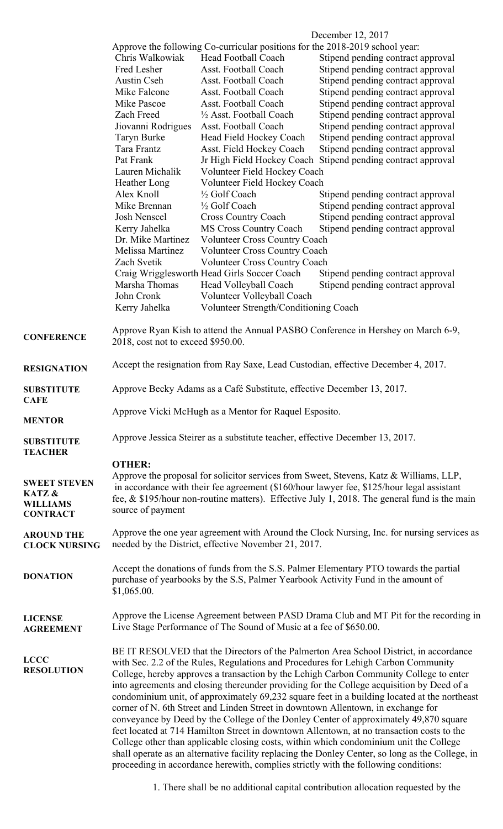|                                     | December 12, 2017                                                                                                                                                                                                                                                                                                                                                       |                                                                                       |                                                                                                  |  |
|-------------------------------------|-------------------------------------------------------------------------------------------------------------------------------------------------------------------------------------------------------------------------------------------------------------------------------------------------------------------------------------------------------------------------|---------------------------------------------------------------------------------------|--------------------------------------------------------------------------------------------------|--|
|                                     |                                                                                                                                                                                                                                                                                                                                                                         | Approve the following Co-curricular positions for the 2018-2019 school year:          |                                                                                                  |  |
|                                     | Chris Walkowiak                                                                                                                                                                                                                                                                                                                                                         | Head Football Coach                                                                   | Stipend pending contract approval                                                                |  |
|                                     | Fred Lesher                                                                                                                                                                                                                                                                                                                                                             | Asst. Football Coach                                                                  | Stipend pending contract approval                                                                |  |
|                                     | <b>Austin Cseh</b>                                                                                                                                                                                                                                                                                                                                                      | Asst. Football Coach                                                                  | Stipend pending contract approval                                                                |  |
|                                     | Mike Falcone                                                                                                                                                                                                                                                                                                                                                            | Asst. Football Coach                                                                  | Stipend pending contract approval                                                                |  |
|                                     | Mike Pascoe                                                                                                                                                                                                                                                                                                                                                             | Asst. Football Coach                                                                  | Stipend pending contract approval                                                                |  |
|                                     | Zach Freed                                                                                                                                                                                                                                                                                                                                                              | 1/2 Asst. Football Coach                                                              | Stipend pending contract approval                                                                |  |
|                                     | Jiovanni Rodrigues                                                                                                                                                                                                                                                                                                                                                      | Asst. Football Coach                                                                  | Stipend pending contract approval                                                                |  |
|                                     | Taryn Burke                                                                                                                                                                                                                                                                                                                                                             | Head Field Hockey Coach                                                               | Stipend pending contract approval                                                                |  |
|                                     | Tara Frantz                                                                                                                                                                                                                                                                                                                                                             | Asst. Field Hockey Coach                                                              | Stipend pending contract approval                                                                |  |
|                                     | Pat Frank                                                                                                                                                                                                                                                                                                                                                               |                                                                                       | Jr High Field Hockey Coach Stipend pending contract approval                                     |  |
|                                     | Lauren Michalik                                                                                                                                                                                                                                                                                                                                                         | Volunteer Field Hockey Coach                                                          |                                                                                                  |  |
|                                     | Heather Long                                                                                                                                                                                                                                                                                                                                                            | Volunteer Field Hockey Coach                                                          |                                                                                                  |  |
|                                     | Alex Knoll                                                                                                                                                                                                                                                                                                                                                              | 1/2 Golf Coach                                                                        |                                                                                                  |  |
|                                     |                                                                                                                                                                                                                                                                                                                                                                         |                                                                                       | Stipend pending contract approval                                                                |  |
|                                     | Mike Brennan                                                                                                                                                                                                                                                                                                                                                            | 1/2 Golf Coach                                                                        | Stipend pending contract approval                                                                |  |
|                                     | Josh Nenscel                                                                                                                                                                                                                                                                                                                                                            | <b>Cross Country Coach</b>                                                            | Stipend pending contract approval                                                                |  |
|                                     | Kerry Jahelka                                                                                                                                                                                                                                                                                                                                                           | <b>MS Cross Country Coach</b>                                                         | Stipend pending contract approval                                                                |  |
|                                     | Dr. Mike Martinez                                                                                                                                                                                                                                                                                                                                                       | <b>Volunteer Cross Country Coach</b>                                                  |                                                                                                  |  |
|                                     | Melissa Martinez<br><b>Volunteer Cross Country Coach</b>                                                                                                                                                                                                                                                                                                                |                                                                                       |                                                                                                  |  |
|                                     | Zach Svetik                                                                                                                                                                                                                                                                                                                                                             | Volunteer Cross Country Coach                                                         |                                                                                                  |  |
|                                     |                                                                                                                                                                                                                                                                                                                                                                         | Craig Wrigglesworth Head Girls Soccer Coach                                           | Stipend pending contract approval                                                                |  |
|                                     | Marsha Thomas                                                                                                                                                                                                                                                                                                                                                           | Head Volleyball Coach                                                                 | Stipend pending contract approval                                                                |  |
|                                     | John Cronk                                                                                                                                                                                                                                                                                                                                                              | Volunteer Volleyball Coach                                                            |                                                                                                  |  |
|                                     | Kerry Jahelka                                                                                                                                                                                                                                                                                                                                                           | Volunteer Strength/Conditioning Coach                                                 |                                                                                                  |  |
|                                     |                                                                                                                                                                                                                                                                                                                                                                         |                                                                                       |                                                                                                  |  |
| <b>CONFERENCE</b>                   | Approve Ryan Kish to attend the Annual PASBO Conference in Hershey on March 6-9,                                                                                                                                                                                                                                                                                        |                                                                                       |                                                                                                  |  |
|                                     | 2018, cost not to exceed \$950.00.                                                                                                                                                                                                                                                                                                                                      |                                                                                       |                                                                                                  |  |
|                                     |                                                                                                                                                                                                                                                                                                                                                                         |                                                                                       |                                                                                                  |  |
| <b>RESIGNATION</b>                  | Accept the resignation from Ray Saxe, Lead Custodian, effective December 4, 2017.                                                                                                                                                                                                                                                                                       |                                                                                       |                                                                                                  |  |
|                                     |                                                                                                                                                                                                                                                                                                                                                                         |                                                                                       |                                                                                                  |  |
| <b>SUBSTITUTE</b>                   | Approve Becky Adams as a Café Substitute, effective December 13, 2017.                                                                                                                                                                                                                                                                                                  |                                                                                       |                                                                                                  |  |
| <b>CAFE</b>                         |                                                                                                                                                                                                                                                                                                                                                                         |                                                                                       |                                                                                                  |  |
|                                     | Approve Vicki McHugh as a Mentor for Raquel Esposito.                                                                                                                                                                                                                                                                                                                   |                                                                                       |                                                                                                  |  |
| <b>MENTOR</b>                       |                                                                                                                                                                                                                                                                                                                                                                         |                                                                                       |                                                                                                  |  |
|                                     | Approve Jessica Steirer as a substitute teacher, effective December 13, 2017.                                                                                                                                                                                                                                                                                           |                                                                                       |                                                                                                  |  |
| <b>SUBSTITUTE</b><br><b>TEACHER</b> |                                                                                                                                                                                                                                                                                                                                                                         |                                                                                       |                                                                                                  |  |
|                                     |                                                                                                                                                                                                                                                                                                                                                                         |                                                                                       |                                                                                                  |  |
|                                     | <b>OTHER:</b>                                                                                                                                                                                                                                                                                                                                                           |                                                                                       |                                                                                                  |  |
| <b>SWEET STEVEN</b>                 | Approve the proposal for solicitor services from Sweet, Stevens, Katz & Williams, LLP,                                                                                                                                                                                                                                                                                  |                                                                                       |                                                                                                  |  |
| KATZ &                              | in accordance with their fee agreement (\$160/hour lawyer fee, \$125/hour legal assistant                                                                                                                                                                                                                                                                               |                                                                                       |                                                                                                  |  |
| <b>WILLIAMS</b>                     | fee, $\&$ \$195/hour non-routine matters). Effective July 1, 2018. The general fund is the main                                                                                                                                                                                                                                                                         |                                                                                       |                                                                                                  |  |
| <b>CONTRACT</b>                     | source of payment                                                                                                                                                                                                                                                                                                                                                       |                                                                                       |                                                                                                  |  |
|                                     |                                                                                                                                                                                                                                                                                                                                                                         |                                                                                       |                                                                                                  |  |
| <b>AROUND THE</b>                   | Approve the one year agreement with Around the Clock Nursing, Inc. for nursing services as                                                                                                                                                                                                                                                                              |                                                                                       |                                                                                                  |  |
| <b>CLOCK NURSING</b>                |                                                                                                                                                                                                                                                                                                                                                                         | needed by the District, effective November 21, 2017.                                  |                                                                                                  |  |
|                                     |                                                                                                                                                                                                                                                                                                                                                                         |                                                                                       |                                                                                                  |  |
|                                     |                                                                                                                                                                                                                                                                                                                                                                         | Accept the donations of funds from the S.S. Palmer Elementary PTO towards the partial |                                                                                                  |  |
| <b>DONATION</b>                     | purchase of yearbooks by the S.S. Palmer Yearbook Activity Fund in the amount of                                                                                                                                                                                                                                                                                        |                                                                                       |                                                                                                  |  |
|                                     | \$1,065.00.                                                                                                                                                                                                                                                                                                                                                             |                                                                                       |                                                                                                  |  |
|                                     |                                                                                                                                                                                                                                                                                                                                                                         |                                                                                       |                                                                                                  |  |
| <b>LICENSE</b>                      |                                                                                                                                                                                                                                                                                                                                                                         |                                                                                       | Approve the License Agreement between PASD Drama Club and MT Pit for the recording in            |  |
| <b>AGREEMENT</b>                    | Live Stage Performance of The Sound of Music at a fee of \$650.00.                                                                                                                                                                                                                                                                                                      |                                                                                       |                                                                                                  |  |
|                                     |                                                                                                                                                                                                                                                                                                                                                                         |                                                                                       |                                                                                                  |  |
|                                     |                                                                                                                                                                                                                                                                                                                                                                         |                                                                                       | BE IT RESOLVED that the Directors of the Palmerton Area School District, in accordance           |  |
| <b>LCCC</b>                         | with Sec. 2.2 of the Rules, Regulations and Procedures for Lehigh Carbon Community                                                                                                                                                                                                                                                                                      |                                                                                       |                                                                                                  |  |
| <b>RESOLUTION</b>                   | College, hereby approves a transaction by the Lehigh Carbon Community College to enter<br>into agreements and closing thereunder providing for the College acquisition by Deed of a<br>condominium unit, of approximately 69,232 square feet in a building located at the northeast<br>corner of N. 6th Street and Linden Street in downtown Allentown, in exchange for |                                                                                       |                                                                                                  |  |
|                                     |                                                                                                                                                                                                                                                                                                                                                                         |                                                                                       |                                                                                                  |  |
|                                     |                                                                                                                                                                                                                                                                                                                                                                         |                                                                                       |                                                                                                  |  |
|                                     |                                                                                                                                                                                                                                                                                                                                                                         |                                                                                       |                                                                                                  |  |
|                                     | conveyance by Deed by the College of the Donley Center of approximately 49,870 square                                                                                                                                                                                                                                                                                   |                                                                                       |                                                                                                  |  |
|                                     | feet located at 714 Hamilton Street in downtown Allentown, at no transaction costs to the                                                                                                                                                                                                                                                                               |                                                                                       |                                                                                                  |  |
|                                     | College other than applicable closing costs, within which condominium unit the College                                                                                                                                                                                                                                                                                  |                                                                                       |                                                                                                  |  |
|                                     |                                                                                                                                                                                                                                                                                                                                                                         |                                                                                       | shall operate as an alternative facility replacing the Donley Center, so long as the College, in |  |
|                                     |                                                                                                                                                                                                                                                                                                                                                                         |                                                                                       | proceeding in accordance herewith, complies strictly with the following conditions:              |  |
|                                     |                                                                                                                                                                                                                                                                                                                                                                         |                                                                                       |                                                                                                  |  |

1. There shall be no additional capital contribution allocation requested by the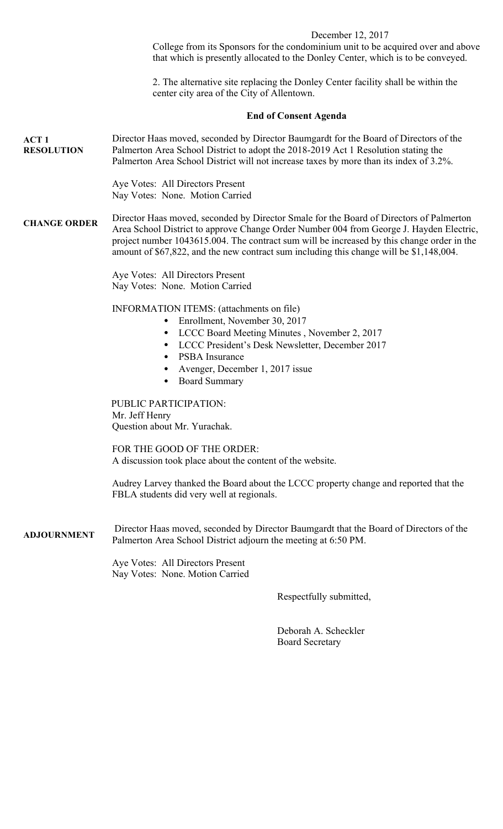## December 12, 2017

College from its Sponsors for the condominium unit to be acquired over and above that which is presently allocated to the Donley Center, which is to be conveyed.

2. The alternative site replacing the Donley Center facility shall be within the center city area of the City of Allentown.

#### **End of Consent Agenda**

**ACT 1 RESOLUTION** Director Haas moved, seconded by Director Baumgardt for the Board of Directors of the Palmerton Area School District to adopt the 2018-2019 Act 1 Resolution stating the Palmerton Area School District will not increase taxes by more than its index of 3.2%.

> Aye Votes: All Directors Present Nay Votes: None. Motion Carried

**CHANGE ORDER** Director Haas moved, seconded by Director Smale for the Board of Directors of Palmerton Area School District to approve Change Order Number 004 from George J. Hayden Electric, project number 1043615.004. The contract sum will be increased by this change order in the amount of \$67,822, and the new contract sum including this change will be \$1,148,004.

> Aye Votes: All Directors Present Nay Votes: None. Motion Carried

INFORMATION ITEMS: (attachments on file)

- Enrollment, November 30, 2017
- LCCC Board Meeting Minutes , November 2, 2017
- LCCC President's Desk Newsletter, December 2017
- PSBA Insurance
- Avenger, December 1, 2017 issue
- Board Summary

PUBLIC PARTICIPATION: Mr. Jeff Henry Question about Mr. Yurachak.

FOR THE GOOD OF THE ORDER: A discussion took place about the content of the website.

Audrey Larvey thanked the Board about the LCCC property change and reported that the FBLA students did very well at regionals.

**ADJOURNMENT** Director Haas moved, seconded by Director Baumgardt that the Board of Directors of the Palmerton Area School District adjourn the meeting at 6:50 PM.

> Aye Votes: All Directors Present Nay Votes: None. Motion Carried

> > Respectfully submitted,

 Deborah A. Scheckler Board Secretary